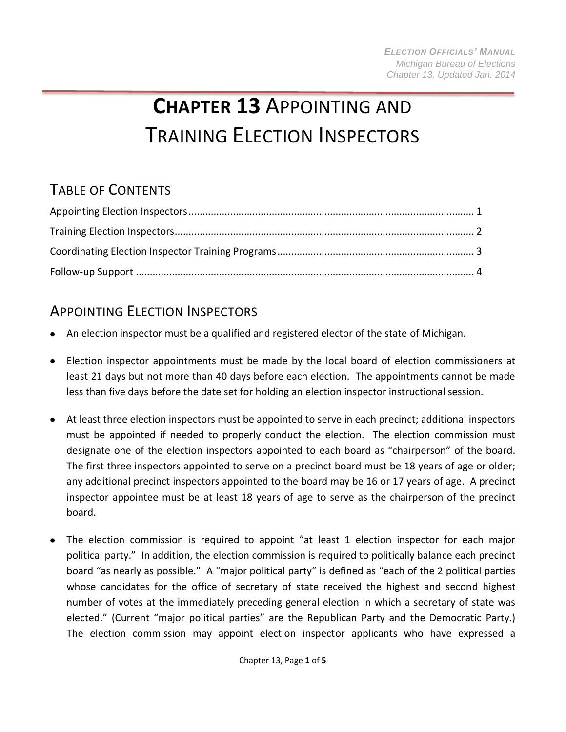## **CHAPTER 13** APPOINTING AND TRAINING ELECTION INSPECTORS

## TABLE OF CONTENTS

## <span id="page-0-0"></span>APPOINTING ELECTION INSPECTORS

- An election inspector must be a qualified and registered elector of the state of Michigan.
- Election inspector appointments must be made by the local board of election commissioners at least 21 days but not more than 40 days before each election. The appointments cannot be made less than five days before the date set for holding an election inspector instructional session.
- At least three election inspectors must be appointed to serve in each precinct; additional inspectors must be appointed if needed to properly conduct the election. The election commission must designate one of the election inspectors appointed to each board as "chairperson" of the board. The first three inspectors appointed to serve on a precinct board must be 18 years of age or older; any additional precinct inspectors appointed to the board may be 16 or 17 years of age. A precinct inspector appointee must be at least 18 years of age to serve as the chairperson of the precinct board.
- The election commission is required to appoint "at least 1 election inspector for each major political party." In addition, the election commission is required to politically balance each precinct board "as nearly as possible." A "major political party" is defined as "each of the 2 political parties whose candidates for the office of secretary of state received the highest and second highest number of votes at the immediately preceding general election in which a secretary of state was elected." (Current "major political parties" are the Republican Party and the Democratic Party.) The election commission may appoint election inspector applicants who have expressed a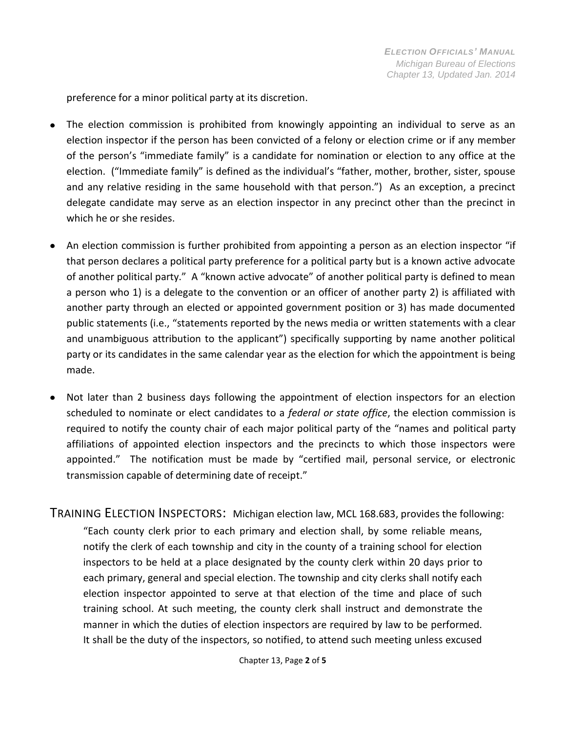preference for a minor political party at its discretion.

- The election commission is prohibited from knowingly appointing an individual to serve as an election inspector if the person has been convicted of a felony or election crime or if any member of the person's "immediate family" is a candidate for nomination or election to any office at the election. ("Immediate family" is defined as the individual's "father, mother, brother, sister, spouse and any relative residing in the same household with that person.") As an exception, a precinct delegate candidate may serve as an election inspector in any precinct other than the precinct in which he or she resides.
- An election commission is further prohibited from appointing a person as an election inspector "if that person declares a political party preference for a political party but is a known active advocate of another political party." A "known active advocate" of another political party is defined to mean a person who 1) is a delegate to the convention or an officer of another party 2) is affiliated with another party through an elected or appointed government position or 3) has made documented public statements (i.e., "statements reported by the news media or written statements with a clear and unambiguous attribution to the applicant") specifically supporting by name another political party or its candidates in the same calendar year as the election for which the appointment is being made.
- Not later than 2 business days following the appointment of election inspectors for an election scheduled to nominate or elect candidates to a *federal or state office*, the election commission is required to notify the county chair of each major political party of the "names and political party affiliations of appointed election inspectors and the precincts to which those inspectors were appointed." The notification must be made by "certified mail, personal service, or electronic transmission capable of determining date of receipt."

<span id="page-1-0"></span>TRAINING ELECTION INSPECTORS:Michigan election law, MCL 168.683, provides the following: "Each county clerk prior to each primary and election shall, by some reliable means, notify the clerk of each township and city in the county of a training school for election inspectors to be held at a place designated by the county clerk within 20 days prior to each primary, general and special election. The township and city clerks shall notify each election inspector appointed to serve at that election of the time and place of such training school. At such meeting, the county clerk shall instruct and demonstrate the manner in which the duties of election inspectors are required by law to be performed. It shall be the duty of the inspectors, so notified, to attend such meeting unless excused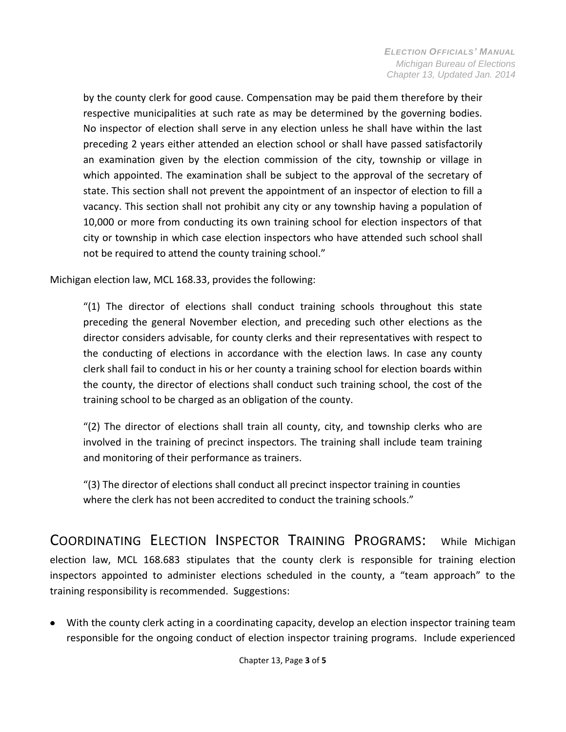by the county clerk for good cause. Compensation may be paid them therefore by their respective municipalities at such rate as may be determined by the governing bodies. No inspector of election shall serve in any election unless he shall have within the last preceding 2 years either attended an election school or shall have passed satisfactorily an examination given by the election commission of the city, township or village in which appointed. The examination shall be subject to the approval of the secretary of state. This section shall not prevent the appointment of an inspector of election to fill a vacancy. This section shall not prohibit any city or any township having a population of 10,000 or more from conducting its own training school for election inspectors of that city or township in which case election inspectors who have attended such school shall not be required to attend the county training school."

Michigan election law, MCL 168.33, provides the following:

"(1) The director of elections shall conduct training schools throughout this state preceding the general November election, and preceding such other elections as the director considers advisable, for county clerks and their representatives with respect to the conducting of elections in accordance with the election laws. In case any county clerk shall fail to conduct in his or her county a training school for election boards within the county, the director of elections shall conduct such training school, the cost of the training school to be charged as an obligation of the county.

"(2) The director of elections shall train all county, city, and township clerks who are involved in the training of precinct inspectors. The training shall include team training and monitoring of their performance as trainers.

"(3) The director of elections shall conduct all precinct inspector training in counties where the clerk has not been accredited to conduct the training schools."

<span id="page-2-0"></span>COORDINATING ELECTION INSPECTOR TRAINING PROGRAMS: While Michigan election law, MCL 168.683 stipulates that the county clerk is responsible for training election inspectors appointed to administer elections scheduled in the county, a "team approach" to the training responsibility is recommended. Suggestions:

With the county clerk acting in a coordinating capacity, develop an election inspector training team responsible for the ongoing conduct of election inspector training programs. Include experienced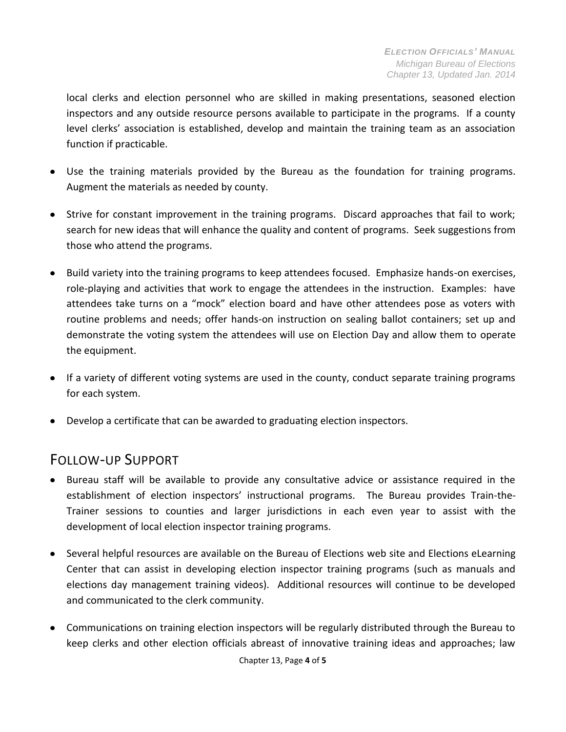local clerks and election personnel who are skilled in making presentations, seasoned election inspectors and any outside resource persons available to participate in the programs. If a county level clerks' association is established, develop and maintain the training team as an association function if practicable.

- Use the training materials provided by the Bureau as the foundation for training programs. Augment the materials as needed by county.
- Strive for constant improvement in the training programs. Discard approaches that fail to work; search for new ideas that will enhance the quality and content of programs. Seek suggestions from those who attend the programs.
- Build variety into the training programs to keep attendees focused. Emphasize hands-on exercises, role-playing and activities that work to engage the attendees in the instruction. Examples: have attendees take turns on a "mock" election board and have other attendees pose as voters with routine problems and needs; offer hands-on instruction on sealing ballot containers; set up and demonstrate the voting system the attendees will use on Election Day and allow them to operate the equipment.
- If a variety of different voting systems are used in the county, conduct separate training programs for each system.
- Develop a certificate that can be awarded to graduating election inspectors.

## <span id="page-3-0"></span>FOLLOW-UP SUPPORT

- Bureau staff will be available to provide any consultative advice or assistance required in the establishment of election inspectors' instructional programs. The Bureau provides Train-the-Trainer sessions to counties and larger jurisdictions in each even year to assist with the development of local election inspector training programs.
- Several helpful resources are available on the Bureau of Elections web site and Elections eLearning Center that can assist in developing election inspector training programs (such as manuals and elections day management training videos). Additional resources will continue to be developed and communicated to the clerk community.
- Communications on training election inspectors will be regularly distributed through the Bureau to keep clerks and other election officials abreast of innovative training ideas and approaches; law